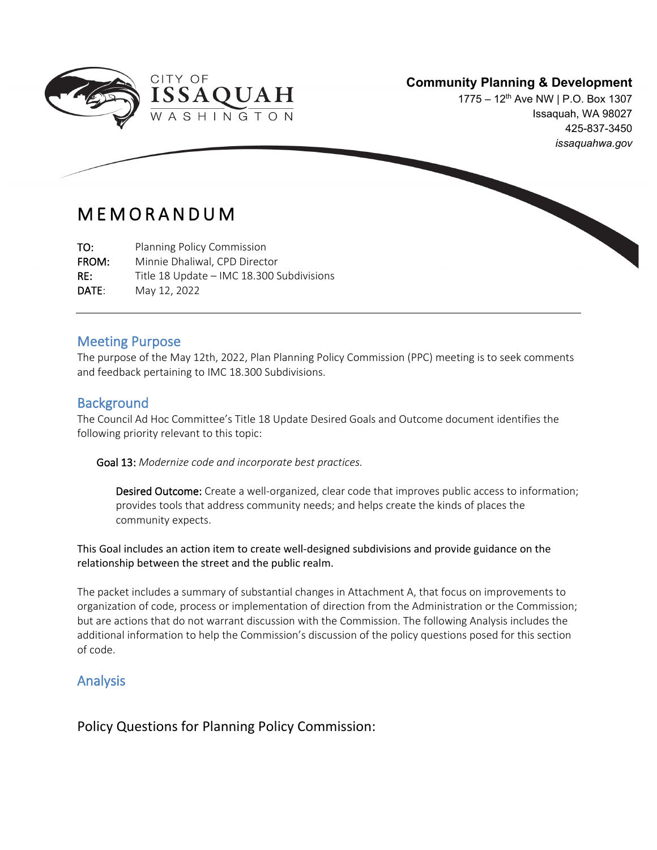

1775 – 12<sup>th</sup> Ave NW | P.O. Box 1307 Issaquah, WA 98027 425-837-3450 *issaquahwa.gov*

## MEMORANDUM

TO: Planning Policy Commission FROM: Minnie Dhaliwal, CPD Director RE: Title 18 Update – IMC 18.300 Subdivisions

DATE: May 12, 2022

#### Meeting Purpose

The purpose of the May 12th, 2022, Plan Planning Policy Commission (PPC) meeting is to seek comments and feedback pertaining to IMC 18.300 Subdivisions.

#### **Background**

 $\overline{\phantom{a}}$ 

The Council Ad Hoc Committee's Title 18 Update Desired Goals and Outcome document identifies the following priority relevant to this topic:

Goal 13: *Modernize code and incorporate best practices.* 

Desired Outcome: Create a well-organized, clear code that improves public access to information; provides tools that address community needs; and helps create the kinds of places the community expects.

This Goal includes an action item to create well-designed subdivisions and provide guidance on the relationship between the street and the public realm.

The packet includes a summary of substantial changes in Attachment A, that focus on improvements to organization of code, process or implementation of direction from the Administration or the Commission; but are actions that do not warrant discussion with the Commission. The following Analysis includes the additional information to help the Commission's discussion of the policy questions posed for this section of code.

## Analysis

Policy Questions for Planning Policy Commission: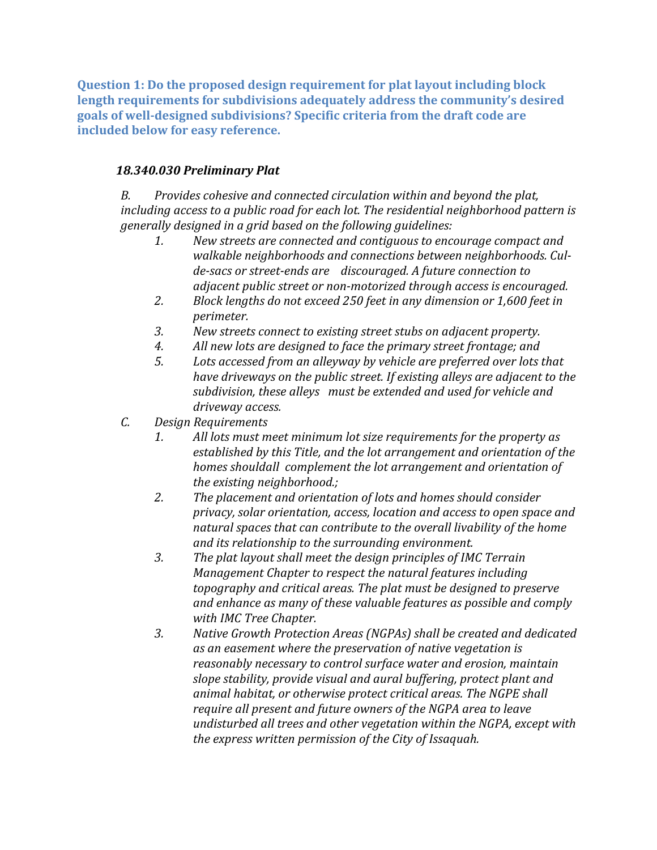**Question 1: Do the proposed design requirement for plat layout including block length requirements for subdivisions adequately address the community's desired goals of well-designed subdivisions? Specific criteria from the draft code are included below for easy reference.**

### *18.340.030 Preliminary Plat*

*B. Provides cohesive and connected circulation within and beyond the plat, including access to a public road for each lot. The residential neighborhood pattern is generally designed in a grid based on the following guidelines:*

- *1. New streets are connected and contiguous to encourage compact and walkable neighborhoods and connections between neighborhoods. Culde-sacs or street-ends are discouraged. A future connection to adjacent public street or non-motorized through access is encouraged.*
- *2. Block lengths do not exceed 250 feet in any dimension or 1,600 feet in perimeter.*
- *3. New streets connect to existing street stubs on adjacent property.*
- *4. All new lots are designed to face the primary street frontage; and*
- *5. Lots accessed from an alleyway by vehicle are preferred over lots that have driveways on the public street. If existing alleys are adjacent to the subdivision, these alleys must be extended and used for vehicle and driveway access.*
- *C. Design Requirements* 
	- *1. All lots must meet minimum lot size requirements for the property as established by this Title, and the lot arrangement and orientation of the homes shouldall complement the lot arrangement and orientation of the existing neighborhood.;*
	- *2. The placement and orientation of lots and homes should consider privacy, solar orientation, access, location and access to open space and natural spaces that can contribute to the overall livability of the home and its relationship to the surrounding environment.*
	- *3. The plat layout shall meet the design principles of IMC Terrain Management Chapter to respect the natural features including topography and critical areas. The plat must be designed to preserve and enhance as many of these valuable features as possible and comply with IMC Tree Chapter.*
	- *3. Native Growth Protection Areas (NGPAs) shall be created and dedicated as an easement where the preservation of native vegetation is reasonably necessary to control surface water and erosion, maintain slope stability, provide visual and aural buffering, protect plant and animal habitat, or otherwise protect critical areas. The NGPE shall require all present and future owners of the NGPA area to leave undisturbed all trees and other vegetation within the NGPA, except with the express written permission of the City of Issaquah.*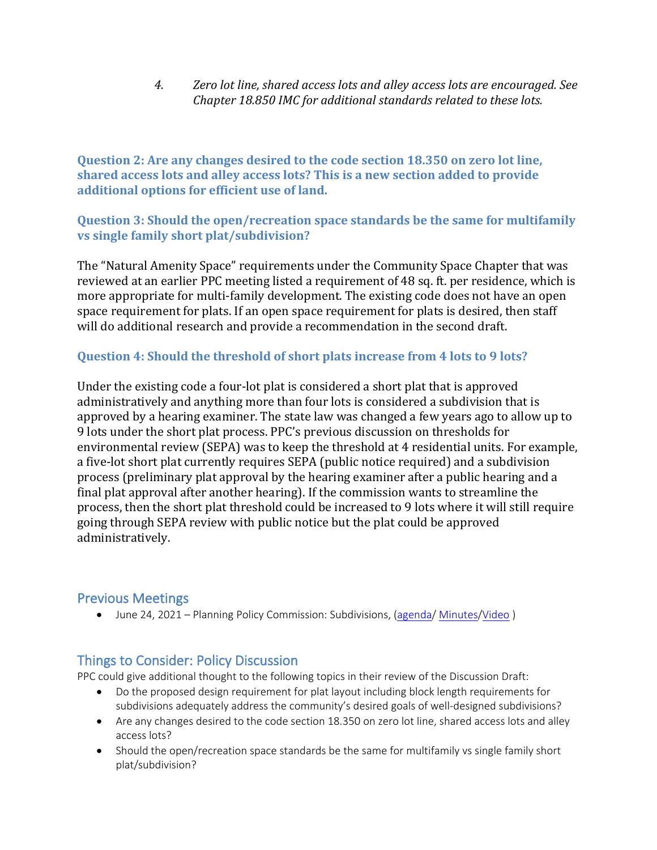*4. Zero lot line, shared access lots and alley access lots are encouraged. See Chapter 18.850 IMC for additional standards related to these lots.*

**Question 2: Are any changes desired to the code section 18.350 on zero lot line, shared access lots and alley access lots? This is a new section added to provide additional options for efficient use of land.**

#### **Question 3: Should the open/recreation space standards be the same for multifamily vs single family short plat/subdivision?**

The "Natural Amenity Space" requirements under the Community Space Chapter that was reviewed at an earlier PPC meeting listed a requirement of 48 sq. ft. per residence, which is more appropriate for multi-family development. The existing code does not have an open space requirement for plats. If an open space requirement for plats is desired, then staff will do additional research and provide a recommendation in the second draft.

#### **Question 4: Should the threshold of short plats increase from 4 lots to 9 lots?**

Under the existing code a four-lot plat is considered a short plat that is approved administratively and anything more than four lots is considered a subdivision that is approved by a hearing examiner. The state law was changed a few years ago to allow up to 9 lots under the short plat process. PPC's previous discussion on thresholds for environmental review (SEPA) was to keep the threshold at 4 residential units. For example, a five-lot short plat currently requires SEPA (public notice required) and a subdivision process (preliminary plat approval by the hearing examiner after a public hearing and a final plat approval after another hearing). If the commission wants to streamline the process, then the short plat threshold could be increased to 9 lots where it will still require going through SEPA review with public notice but the plat could be approved administratively.

## Previous Meetings

• June 24, 2021 – Planning Policy Commission: Subdivisions, [\(agenda/](https://issaquah.civicweb.net/filepro/documents/131216/?preview=139535) [Minutes](https://issaquah.civicweb.net/filepro/documents/132681/?preview=140595)/Video)

## Things to Consider: Policy Discussion

PPC could give additional thought to the following topics in their review of the Discussion Draft:

- Do the proposed design requirement for plat layout including block length requirements for subdivisions adequately address the community's desired goals of well-designed subdivisions?
- Are any changes desired to the code section 18.350 on zero lot line, shared access lots and alley access lots?
- Should the open/recreation space standards be the same for multifamily vs single family short plat/subdivision?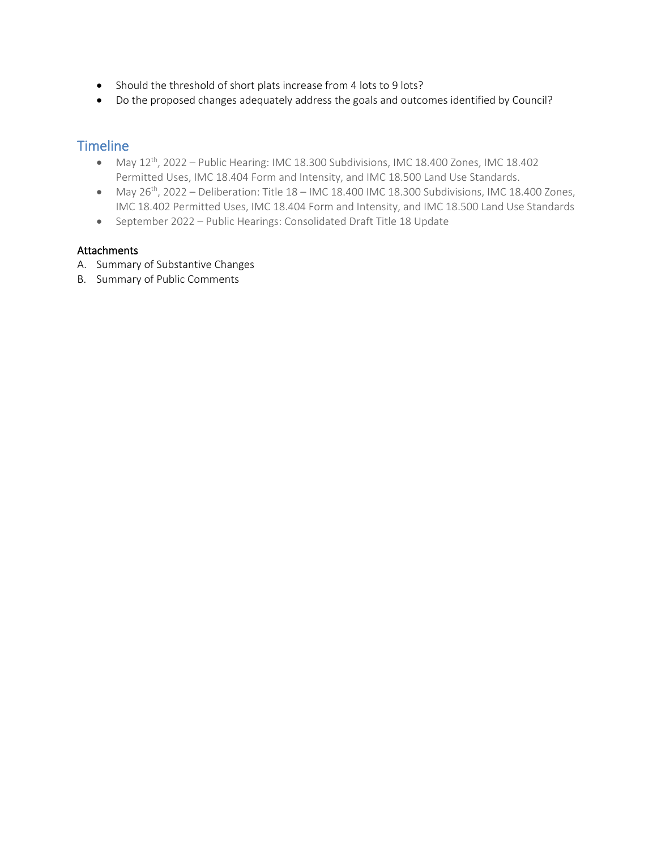- Should the threshold of short plats increase from 4 lots to 9 lots?
- Do the proposed changes adequately address the goals and outcomes identified by Council?

## **Timeline**

- May 12<sup>th</sup>, 2022 Public Hearing: IMC 18.300 Subdivisions, IMC 18.400 Zones, IMC 18.402 Permitted Uses, IMC 18.404 Form and Intensity, and IMC 18.500 Land Use Standards.
- May  $26<sup>th</sup>$ , 2022 Deliberation: Title  $18$  IMC 18.400 IMC 18.300 Subdivisions, IMC 18.400 Zones, IMC 18.402 Permitted Uses, IMC 18.404 Form and Intensity, and IMC 18.500 Land Use Standards
- September 2022 Public Hearings: Consolidated Draft Title 18 Update

#### Attachments

- A. Summary of Substantive Changes
- B. Summary of Public Comments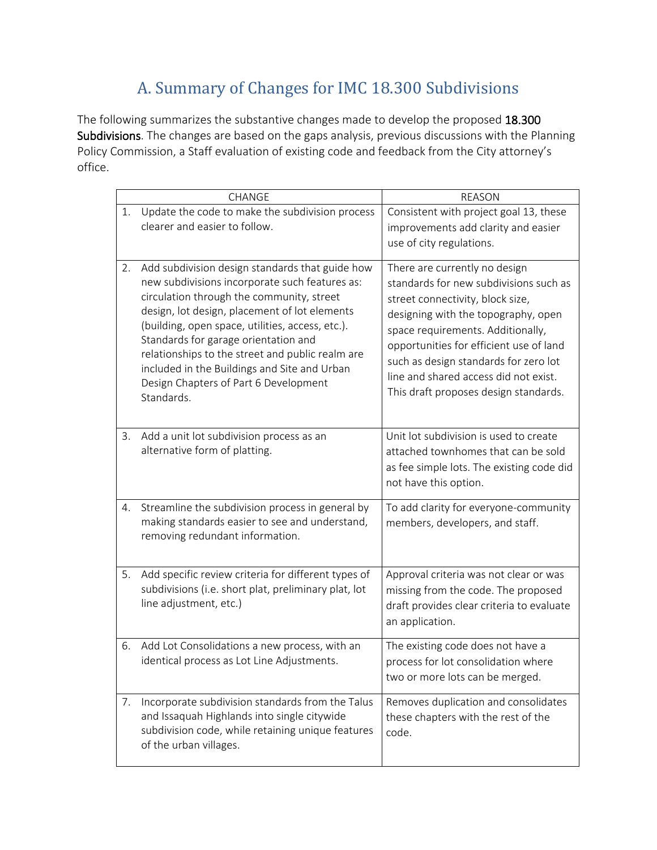# A. Summary of Changes for IMC 18.300 Subdivisions

The following summarizes the substantive changes made to develop the proposed 18.300 Subdivisions. The changes are based on the gaps analysis, previous discussions with the Planning Policy Commission, a Staff evaluation of existing code and feedback from the City attorney's office.

|    | CHANGE                                                                                                                                                                                                                                                                                                                                                                                                                                                 | <b>REASON</b>                                                                                                                                                                                                                                                                                                                                                 |
|----|--------------------------------------------------------------------------------------------------------------------------------------------------------------------------------------------------------------------------------------------------------------------------------------------------------------------------------------------------------------------------------------------------------------------------------------------------------|---------------------------------------------------------------------------------------------------------------------------------------------------------------------------------------------------------------------------------------------------------------------------------------------------------------------------------------------------------------|
| 1. | Update the code to make the subdivision process<br>clearer and easier to follow.                                                                                                                                                                                                                                                                                                                                                                       | Consistent with project goal 13, these<br>improvements add clarity and easier<br>use of city regulations.                                                                                                                                                                                                                                                     |
| 2. | Add subdivision design standards that guide how<br>new subdivisions incorporate such features as:<br>circulation through the community, street<br>design, lot design, placement of lot elements<br>(building, open space, utilities, access, etc.).<br>Standards for garage orientation and<br>relationships to the street and public realm are<br>included in the Buildings and Site and Urban<br>Design Chapters of Part 6 Development<br>Standards. | There are currently no design<br>standards for new subdivisions such as<br>street connectivity, block size,<br>designing with the topography, open<br>space requirements. Additionally,<br>opportunities for efficient use of land<br>such as design standards for zero lot<br>line and shared access did not exist.<br>This draft proposes design standards. |
| 3. | Add a unit lot subdivision process as an<br>alternative form of platting.                                                                                                                                                                                                                                                                                                                                                                              | Unit lot subdivision is used to create<br>attached townhomes that can be sold<br>as fee simple lots. The existing code did<br>not have this option.                                                                                                                                                                                                           |
| 4. | Streamline the subdivision process in general by<br>making standards easier to see and understand,<br>removing redundant information.                                                                                                                                                                                                                                                                                                                  | To add clarity for everyone-community<br>members, developers, and staff.                                                                                                                                                                                                                                                                                      |
| 5. | Add specific review criteria for different types of<br>subdivisions (i.e. short plat, preliminary plat, lot<br>line adjustment, etc.)                                                                                                                                                                                                                                                                                                                  | Approval criteria was not clear or was<br>missing from the code. The proposed<br>draft provides clear criteria to evaluate<br>an application.                                                                                                                                                                                                                 |
| 6. | Add Lot Consolidations a new process, with an<br>identical process as Lot Line Adjustments.                                                                                                                                                                                                                                                                                                                                                            | The existing code does not have a<br>process for lot consolidation where<br>two or more lots can be merged.                                                                                                                                                                                                                                                   |
| 7. | Incorporate subdivision standards from the Talus<br>and Issaquah Highlands into single citywide<br>subdivision code, while retaining unique features<br>of the urban villages.                                                                                                                                                                                                                                                                         | Removes duplication and consolidates<br>these chapters with the rest of the<br>code.                                                                                                                                                                                                                                                                          |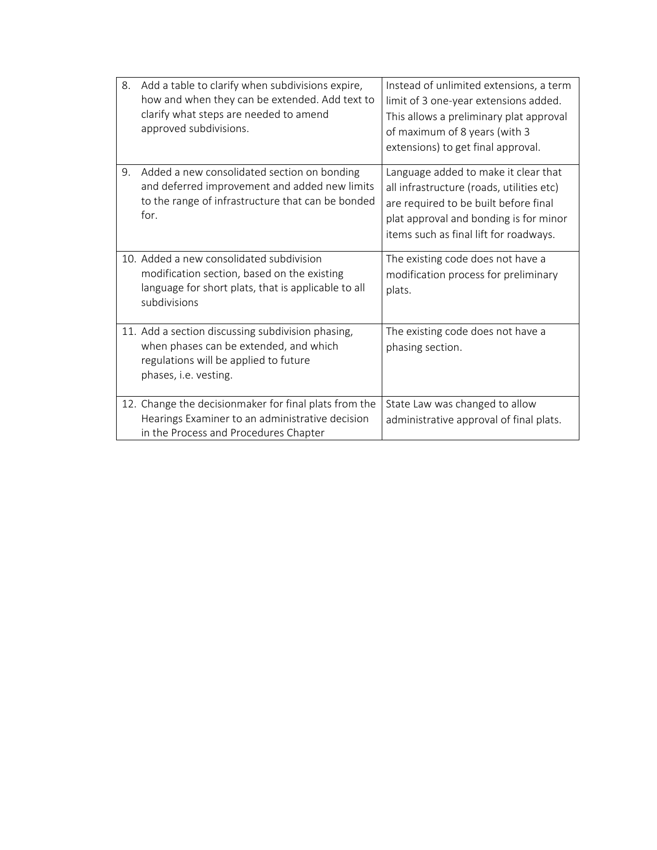| 8. | Add a table to clarify when subdivisions expire,<br>how and when they can be extended. Add text to<br>clarify what steps are needed to amend<br>approved subdivisions. | Instead of unlimited extensions, a term<br>limit of 3 one-year extensions added.<br>This allows a preliminary plat approval<br>of maximum of 8 years (with 3<br>extensions) to get final approval.             |
|----|------------------------------------------------------------------------------------------------------------------------------------------------------------------------|----------------------------------------------------------------------------------------------------------------------------------------------------------------------------------------------------------------|
| 9. | Added a new consolidated section on bonding<br>and deferred improvement and added new limits<br>to the range of infrastructure that can be bonded<br>for.              | Language added to make it clear that<br>all infrastructure (roads, utilities etc)<br>are required to be built before final<br>plat approval and bonding is for minor<br>items such as final lift for roadways. |
|    | 10. Added a new consolidated subdivision<br>modification section, based on the existing<br>language for short plats, that is applicable to all<br>subdivisions         | The existing code does not have a<br>modification process for preliminary<br>plats.                                                                                                                            |
|    | 11. Add a section discussing subdivision phasing,<br>when phases can be extended, and which<br>regulations will be applied to future<br>phases, i.e. vesting.          | The existing code does not have a<br>phasing section.                                                                                                                                                          |
|    | 12. Change the decisionmaker for final plats from the<br>Hearings Examiner to an administrative decision<br>in the Process and Procedures Chapter                      | State Law was changed to allow<br>administrative approval of final plats.                                                                                                                                      |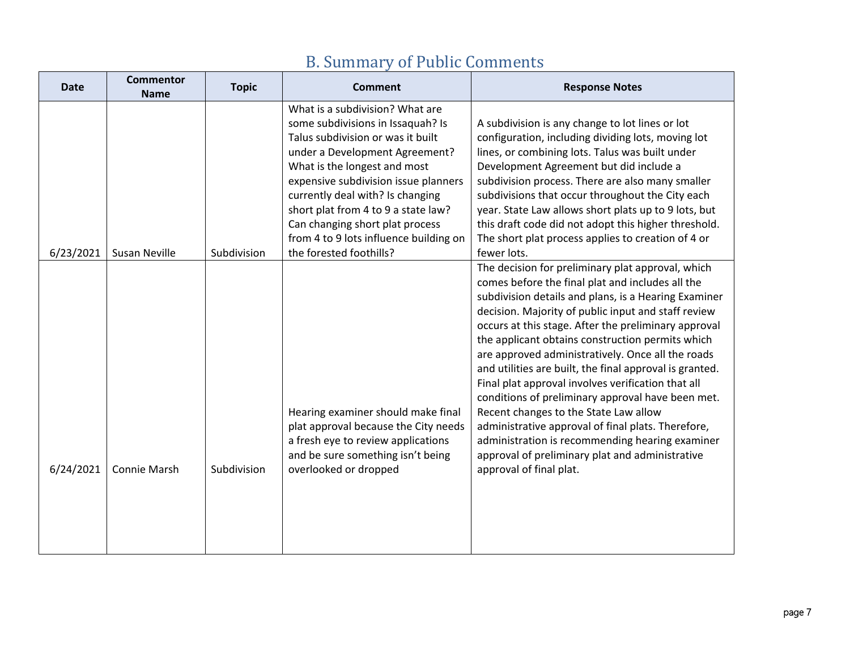| <b>Date</b> | <b>Commentor</b><br><b>Name</b> | <b>Topic</b> | <b>Comment</b>                                                                                                                                                                                                                                                                                                                                                                                         | <b>Response Notes</b>                                                                                                                                                                                                                                                                                                                                                                                                                                                                                                                                                                                                                                                                                                                                                                       |
|-------------|---------------------------------|--------------|--------------------------------------------------------------------------------------------------------------------------------------------------------------------------------------------------------------------------------------------------------------------------------------------------------------------------------------------------------------------------------------------------------|---------------------------------------------------------------------------------------------------------------------------------------------------------------------------------------------------------------------------------------------------------------------------------------------------------------------------------------------------------------------------------------------------------------------------------------------------------------------------------------------------------------------------------------------------------------------------------------------------------------------------------------------------------------------------------------------------------------------------------------------------------------------------------------------|
| 6/23/2021   | <b>Susan Neville</b>            | Subdivision  | What is a subdivision? What are<br>some subdivisions in Issaquah? Is<br>Talus subdivision or was it built<br>under a Development Agreement?<br>What is the longest and most<br>expensive subdivision issue planners<br>currently deal with? Is changing<br>short plat from 4 to 9 a state law?<br>Can changing short plat process<br>from 4 to 9 lots influence building on<br>the forested foothills? | A subdivision is any change to lot lines or lot<br>configuration, including dividing lots, moving lot<br>lines, or combining lots. Talus was built under<br>Development Agreement but did include a<br>subdivision process. There are also many smaller<br>subdivisions that occur throughout the City each<br>year. State Law allows short plats up to 9 lots, but<br>this draft code did not adopt this higher threshold.<br>The short plat process applies to creation of 4 or<br>fewer lots.                                                                                                                                                                                                                                                                                            |
| 6/24/2021   | Connie Marsh                    | Subdivision  | Hearing examiner should make final<br>plat approval because the City needs<br>a fresh eye to review applications<br>and be sure something isn't being<br>overlooked or dropped                                                                                                                                                                                                                         | The decision for preliminary plat approval, which<br>comes before the final plat and includes all the<br>subdivision details and plans, is a Hearing Examiner<br>decision. Majority of public input and staff review<br>occurs at this stage. After the preliminary approval<br>the applicant obtains construction permits which<br>are approved administratively. Once all the roads<br>and utilities are built, the final approval is granted.<br>Final plat approval involves verification that all<br>conditions of preliminary approval have been met.<br>Recent changes to the State Law allow<br>administrative approval of final plats. Therefore,<br>administration is recommending hearing examiner<br>approval of preliminary plat and administrative<br>approval of final plat. |

# B. Summary of Public Comments